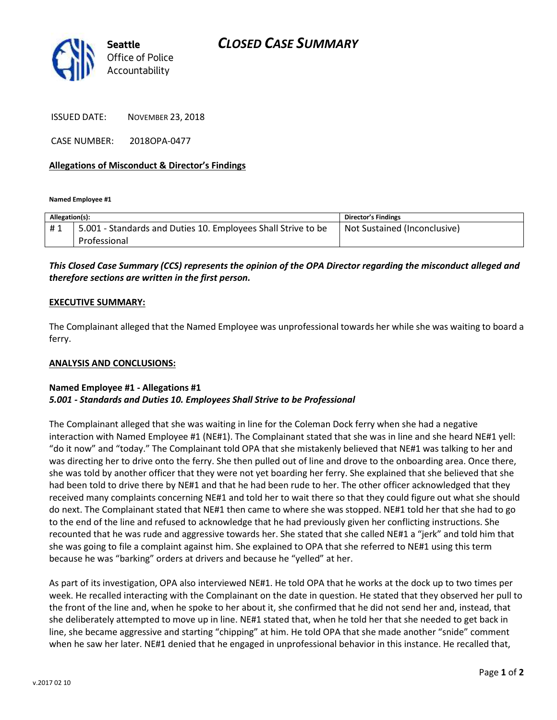

ISSUED DATE: NOVEMBER 23, 2018

CASE NUMBER: 2018OPA-0477

### **Allegations of Misconduct & Director's Findings**

**Named Employee #1**

| Allegation(s): |                                                               | <b>Director's Findings</b>   |
|----------------|---------------------------------------------------------------|------------------------------|
| #1             | 5.001 - Standards and Duties 10. Employees Shall Strive to be | Not Sustained (Inconclusive) |
|                | Professional                                                  |                              |

# *This Closed Case Summary (CCS) represents the opinion of the OPA Director regarding the misconduct alleged and therefore sections are written in the first person.*

#### **EXECUTIVE SUMMARY:**

The Complainant alleged that the Named Employee was unprofessional towards her while she was waiting to board a ferry.

#### **ANALYSIS AND CONCLUSIONS:**

## **Named Employee #1 - Allegations #1** *5.001 - Standards and Duties 10. Employees Shall Strive to be Professional*

The Complainant alleged that she was waiting in line for the Coleman Dock ferry when she had a negative interaction with Named Employee #1 (NE#1). The Complainant stated that she was in line and she heard NE#1 yell: "do it now" and "today." The Complainant told OPA that she mistakenly believed that NE#1 was talking to her and was directing her to drive onto the ferry. She then pulled out of line and drove to the onboarding area. Once there, she was told by another officer that they were not yet boarding her ferry. She explained that she believed that she had been told to drive there by NE#1 and that he had been rude to her. The other officer acknowledged that they received many complaints concerning NE#1 and told her to wait there so that they could figure out what she should do next. The Complainant stated that NE#1 then came to where she was stopped. NE#1 told her that she had to go to the end of the line and refused to acknowledge that he had previously given her conflicting instructions. She recounted that he was rude and aggressive towards her. She stated that she called NE#1 a "jerk" and told him that she was going to file a complaint against him. She explained to OPA that she referred to NE#1 using this term because he was "barking" orders at drivers and because he "yelled" at her.

As part of its investigation, OPA also interviewed NE#1. He told OPA that he works at the dock up to two times per week. He recalled interacting with the Complainant on the date in question. He stated that they observed her pull to the front of the line and, when he spoke to her about it, she confirmed that he did not send her and, instead, that she deliberately attempted to move up in line. NE#1 stated that, when he told her that she needed to get back in line, she became aggressive and starting "chipping" at him. He told OPA that she made another "snide" comment when he saw her later. NE#1 denied that he engaged in unprofessional behavior in this instance. He recalled that,